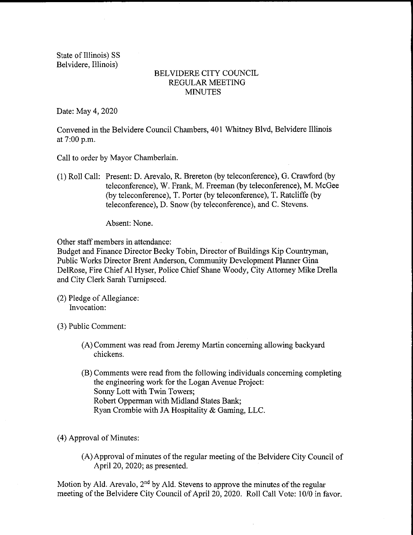State of Illinois) SS Belvidere, Illinois)

## BELVIDERE CITY COUNCIL REGULAR MEETING MINUTES

Date: May 4, 2020

Convened in the Belvidere Council Chambers, 401 Whitney Blvd, Belvidere Illinois at 7:00 p.m.

Call to order by Mayor Chamberlain.

1) Roll Call: Present: D. Arevalo, R. Brereton( by teleconference), G. Crawford (by teleconference), W. Frank, M. Freeman (by teleconference), M. McGee (by teleconference), T. Porter (by teleconference), T. Ratcliffe (by teleconference), D. Snow( by teleconference), and C. Stevens.

Absent: None.

Other staff members in attendance:

Budget and Finance Director Becky Tobin, Director of Buildings Kip Countryman, Public Works Director Brent Anderson, Community Development Planner Gina DelRose, Fire Chief Al Hyser, Police Chief Shane Woody, City Attorney Mike Drella and City Clerk Sarah Turnipseed.

 $(2)$  Pledge of Allegiance: Invocation:

3) Public Comment:

- A) Comment was read from Jeremy Martin concerning allowing backyard chickens.
- B) Comments were read from the following individuals concerning completing the engineering work for the Logan Avenue Project: Sonny Lott with Twin Towers; Robert Opperman with Midland States Bank; Ryan Crombie with JA Hospitality& Gaming, LLC.

4) Approval of Minutes:

A) Approval of minutes of the regular meeting of the Belvidere City Council of April 20, 2020; as presented.

Motion by Ald. Arevalo,  $2<sup>nd</sup>$  by Ald. Stevens to approve the minutes of the regular meeting of the Belvidere City Council of April 20, 2020. Roll Call Vote: 10/0 in favor.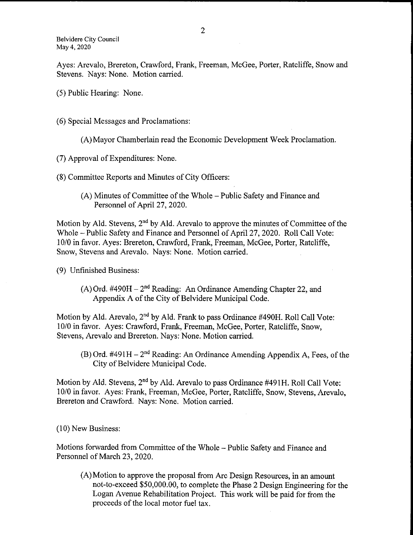Ayes: Arevalo, Brereton, Crawford, Frank, Freeman, McGee, Porter, Ratcliffe, Snow and Stevens. Nays: None. Motion carried.

- 5) Public Hearing: None.
- 6) Special Messages and Proclamations:

A) Mayor Chamberlain read the Economic Development Week Proclamation.

7) Approval of Expenditures: None.

8) Committee Reports and Minutes of City Officers:

A) Minutes of Committee of the Whole— Public Safety and Finance and Personnel of April 27, 2020.

Motion by Ald. Stevens,  $2<sup>nd</sup>$  by Ald. Arevalo to approve the minutes of Committee of the Whole— Public Safety and Finance and Personnel of April 27, 2020. Roll Call Vote: 10/0 in favor. Ayes: Brereton, Crawford, Frank, Freeman, McGee, Porter, Ratcliffe, Snow, Stevens and Arevalo. Nays: None. Motion carried.

9) Unfinished Business:

 $(A)$  Ord. #490H –  $2<sup>nd</sup>$  Reading: An Ordinance Amending Chapter 22, and Appendix A of the City of Belvidere Municipal Code.

Motion by Ald. Arevalo,  $2<sup>nd</sup>$  by Ald. Frank to pass Ordinance #490H. Roll Call Vote: 10/0 in favor. Ayes: Crawford, Frank, Freeman, McGee, Porter, Ratcliffe, Snow, Stevens, Arevalo and Brereton. Nays: None. Motion carried.

 $(B)$  Ord. #491 H – 2<sup>nd</sup> Reading: An Ordinance Amending Appendix A, Fees, of the City of Belvidere Municipal Code.

Motion by Ald. Stevens, 2<sup>nd</sup> by Ald. Arevalo to pass Ordinance #491H. Roll Call Vote: 10/0 in favor. Ayes: Frank, Freeman, McGee, Porter, Ratcliffe, Snow, Stevens, Arevalo. Brereton and Crawford. Nays: None. Motion carried.

10) New Business:

Motions forwarded from Committee of the Whole— Public Safety and Finance and Personnel of March 23, 2020.

A) Motion to approve the proposal from Are Design Resources, in an amount not-to-exceed \$50,000.00, to complete the Phase 2 Design Engineering for the Logan Avenue Rehabilitation Project. This work will be paid for from the proceeds of the local motor fuel tax.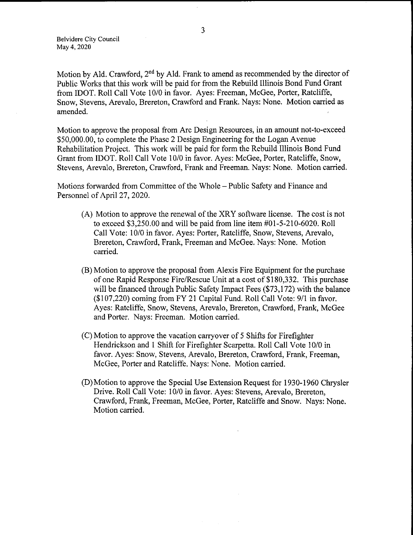Belvidere City Council May 4, 2020

Motion by Ald. Crawford, 2<sup>nd</sup> by Ald. Frank to amend as recommended by the director of Public Works that this work will be paid for from the Rebuild Illinois Bond Fund Grant from IDOT. Roll Call Vote 10/0 in favor. Ayes: Freeman, McGee, Porter, Ratcliffe, Snow, Stevens, Arevalo, Brereton, Crawford and Frank. Nays: None. Motion carried as amended.

Motion to approve the proposal from Arc Design Resources, in an amount not-to-exceed 50, 000. 00, to complete the Phase 2 Design Engineering for the Logan Avenue Rehabilitation Project. This work will be paid for form the Rebuild Illinois Bond Fund Grant from IDOT. Roll Call Vote 10/0 in favor. Ayes: McGee, Porter, Ratcliffe, Snow, Stevens, Arevalo, Brereton, Crawford, Frank and Freeman. Nays: None. Motion carried.

Motions forwarded from Committee of the Whole— Public Safety and Finance and Personnel of April 27, 2020.

- A) Motion to approve the renewal of the XRY software license. The cost is not to exceed  $$3,250.00$  and will be paid from line item  $\#01 - 5 - 210 - 6020$ . Roll Call Vote: 10/0 in favor. Ayes: Porter, Ratcliffe, Snow, Stevens, Arevalo, Brereton, Crawford, Frank, Freeman and McGee. Nays: None. Motion carried.
- B) Motion to approve the proposal from Alexis Fire Equipment for the purchase of one Rapid Response Fire/Rescue Unit at a cost of \$180, 332. This purchase will be financed through Public Safety Impact Fees (\$73,172) with the balance (\$107, 220) coming from FY 21 Capital Fund. Roll Call Vote: 9/1 in favor. Ayes: Ratcliffe, Snow, Stevens, Arevalo, Brereton, Crawford, Frank, McGee and Porter. Nays: Freeman. Motion carried.
- C) Motion to approve the vacation carryover of <sup>5</sup> Shifts for Firefighter Hendrickson and 1 Shift for Firefighter Scarpetta. Roll Call Vote 10/0 in favor. Ayes: Snow, Stevens, Arevalo, Brereton, Crawford, Frank, Freeman, McGee, Porter and Ratcliffe. Nays: None. Motion carried.
- D) Motion to approve the Special Use Extension Request for 1930- 1960 Chrysler Drive. Roll Call Vote: 10/0 in favor. Ayes: Stevens, Arevalo, Brereton, Crawford, Frank, Freeman, McGee, Porter, Ratcliffe and Snow. Nays: None. Motion carried.

 $\sim$